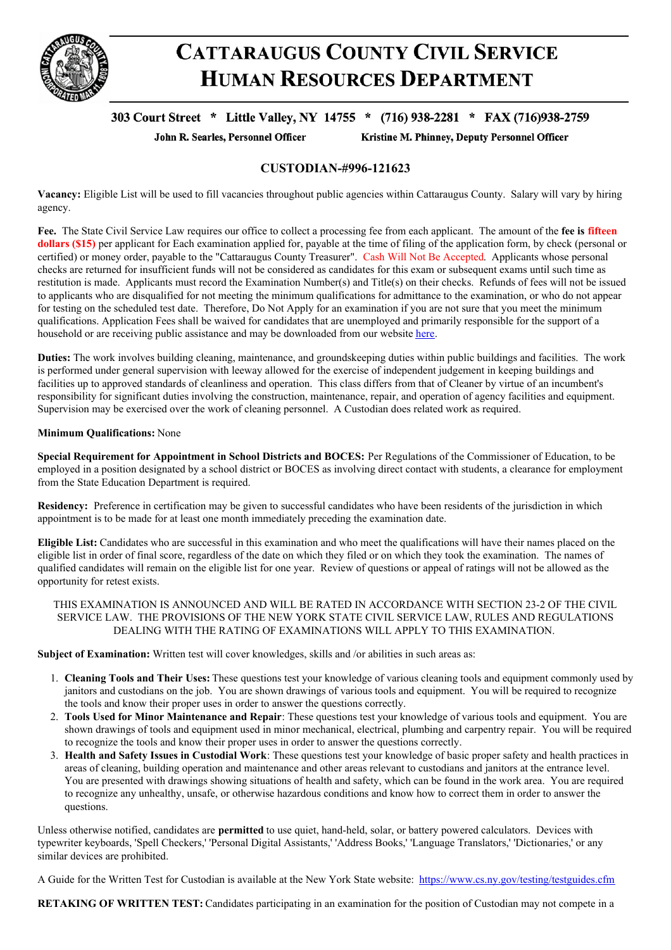

# **CATTARAUGUS COUNTY CIVIL SERVICE HUMAN RESOURCES DEPARTMENT**

## 303 Court Street \* Little Valley, NY 14755 \* (716) 938-2281 \* FAX (716)938-2759

John R. Searles, Personnel Officer

Kristine M. Phinney, Deputy Personnel Officer

### **CUSTODIAN-#996-121623**

**Vacancy:** Eligible List will be used to fill vacancies throughout public agencies within Cattaraugus County. Salary will vary by hiring agency.

**Fee.** The State Civil Service Law requires our office to collect a processing fee from each applicant. The amount of the **fee is fifteen dollars (\$15)** per applicant for Each examination applied for, payable at the time of filing of the application form, by check (personal or certified) or money order, payable to the "Cattaraugus County Treasurer". Cash Will Not Be Accepted. Applicants whose personal checks are returned for insufficient funds will not be considered as candidates for this exam or subsequent exams until such time as restitution is made. Applicants must record the Examination Number(s) and Title(s) on their checks. Refunds of fees will not be issued to applicants who are disqualified for not meeting the minimum qualifications for admittance to the examination, or who do not appear for testing on the scheduled test date. Therefore, Do Not Apply for an examination if you are not sure that you meet the minimum qualifications. Application Fees shall be waived for candidates that are unemployed and primarily responsible for the support of a household or are receiving public assistance and may be downloaded from our website [here](https://www.cattco.org/human-resources/exam-info).

**Duties:** The work involves building cleaning, maintenance, and groundskeeping duties within public buildings and facilities. The work is performed under general supervision with leeway allowed for the exercise of independent judgement in keeping buildings and facilities up to approved standards of cleanliness and operation. This class differs from that of Cleaner by virtue of an incumbent's responsibility for significant duties involving the construction, maintenance, repair, and operation of agency facilities and equipment. Supervision may be exercised over the work of cleaning personnel. A Custodian does related work as required.

#### **Minimum Qualifications:** None

**Special Requirement for Appointment in School Districts and BOCES:** Per Regulations of the Commissioner of Education, to be employed in a position designated by a school district or BOCES as involving direct contact with students, a clearance for employment from the State Education Department is required.

**Residency:** Preference in certification may be given to successful candidates who have been residents of the jurisdiction in which appointment is to be made for at least one month immediately preceding the examination date.

**Eligible List:** Candidates who are successful in this examination and who meet the qualifications will have their names placed on the eligible list in order of final score, regardless of the date on which they filed or on which they took the examination. The names of qualified candidates will remain on the eligible list for one year. Review of questions or appeal of ratings will not be allowed as the opportunity for retest exists.

THIS EXAMINATION IS ANNOUNCED AND WILL BE RATED IN ACCORDANCE WITH SECTION 23-2 OF THE CIVIL SERVICE LAW. THE PROVISIONS OF THE NEW YORK STATE CIVIL SERVICE LAW, RULES AND REGULATIONS DEALING WITH THE RATING OF EXAMINATIONS WILL APPLY TO THIS EXAMINATION.

**Subject of Examination:** Written test will cover knowledges, skills and /or abilities in such areas as:

- 1. **Cleaning Tools and Their Uses:** These questions test your knowledge of various cleaning tools and equipment commonly used by janitors and custodians on the job. You are shown drawings of various tools and equipment. You will be required to recognize the tools and know their proper uses in order to answer the questions correctly.
- 2. **Tools Used for Minor Maintenance and Repair**: These questions test your knowledge of various tools and equipment. You are shown drawings of tools and equipment used in minor mechanical, electrical, plumbing and carpentry repair. You will be required to recognize the tools and know their proper uses in order to answer the questions correctly.
- 3. **Health and Safety Issues in Custodial Work**: These questions test your knowledge of basic proper safety and health practices in areas of cleaning, building operation and maintenance and other areas relevant to custodians and janitors at the entrance level. You are presented with drawings showing situations of health and safety, which can be found in the work area. You are required to recognize any unhealthy, unsafe, or otherwise hazardous conditions and know how to correct them in order to answer the questions.

Unless otherwise notified, candidates are **permitted** to use quiet, hand-held, solar, or battery powered calculators. Devices with typewriter keyboards, 'Spell Checkers,' 'Personal Digital Assistants,' 'Address Books,' 'Language Translators,' 'Dictionaries,' or any similar devices are prohibited.

A Guide for the Written Test for Custodian is available at the New York State website: <https://www.cs.ny.gov/testing/testguides.cfm>

**RETAKING OF WRITTEN TEST:** Candidates participating in an examination for the position of Custodian may not compete in a